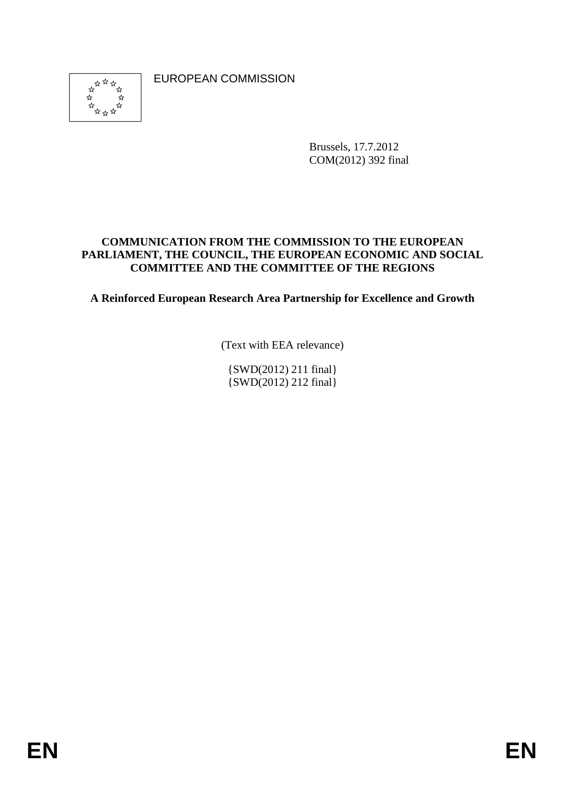\*\*\*\*  EUROPEAN COMMISSION

Brussels, 17.7.2012 COM(2012) 392 final

## **COMMUNICATION FROM THE COMMISSION TO THE EUROPEAN PARLIAMENT, THE COUNCIL, THE EUROPEAN ECONOMIC AND SOCIAL COMMITTEE AND THE COMMITTEE OF THE REGIONS**

**A Reinforced European Research Area Partnership for Excellence and Growth** 

(Text with EEA relevance)

{SWD(2012) 211 final} {SWD(2012) 212 final}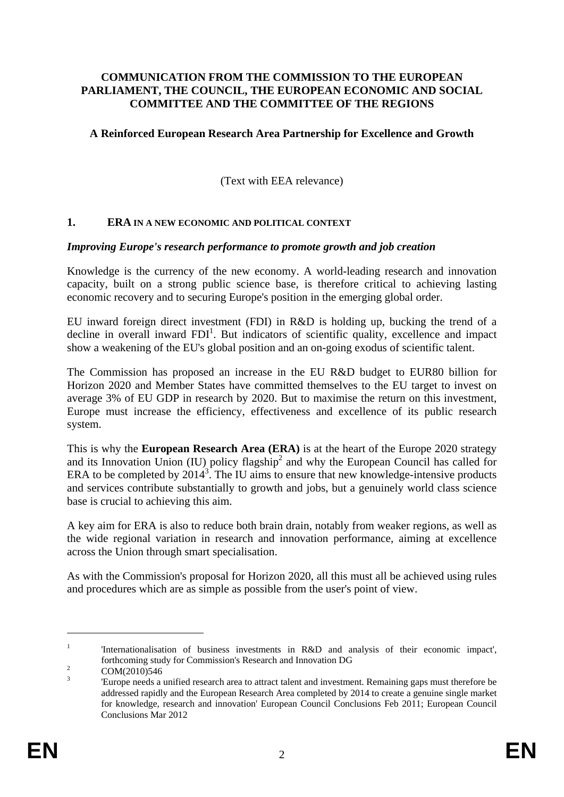#### **COMMUNICATION FROM THE COMMISSION TO THE EUROPEAN PARLIAMENT, THE COUNCIL, THE EUROPEAN ECONOMIC AND SOCIAL COMMITTEE AND THE COMMITTEE OF THE REGIONS**

### **A Reinforced European Research Area Partnership for Excellence and Growth**

(Text with EEA relevance)

### **1. ERA IN A NEW ECONOMIC AND POLITICAL CONTEXT**

### *Improving Europe's research performance to promote growth and job creation*

Knowledge is the currency of the new economy. A world-leading research and innovation capacity, built on a strong public science base, is therefore critical to achieving lasting economic recovery and to securing Europe's position in the emerging global order.

EU inward foreign direct investment (FDI) in R&D is holding up, bucking the trend of a decline in overall inward  $FDI<sup>1</sup>$ . But indicators of scientific quality, excellence and impact show a weakening of the EU's global position and an on-going exodus of scientific talent.

The Commission has proposed an increase in the EU R&D budget to EUR80 billion for Horizon 2020 and Member States have committed themselves to the EU target to invest on average 3% of EU GDP in research by 2020. But to maximise the return on this investment, Europe must increase the efficiency, effectiveness and excellence of its public research system.

This is why the **European Research Area (ERA)** is at the heart of the Europe 2020 strategy and its Innovation Union (IU) policy flagship<sup>2</sup> and why the European Council has called for ERA to be completed by  $2014<sup>3</sup>$ . The IU aims to ensure that new knowledge-intensive products and services contribute substantially to growth and jobs, but a genuinely world class science base is crucial to achieving this aim.

A key aim for ERA is also to reduce both brain drain, notably from weaker regions, as well as the wide regional variation in research and innovation performance, aiming at excellence across the Union through smart specialisation.

As with the Commission's proposal for Horizon 2020, all this must all be achieved using rules and procedures which are as simple as possible from the user's point of view.

<sup>1</sup> 'Internationalisation of business investments in R&D and analysis of their economic impact', forthcoming study for Commission's Research and Innovation DG 2<br>
COM/2010/546

COM(2010)546

<sup>3</sup> 'Europe needs a unified research area to attract talent and investment. Remaining gaps must therefore be addressed rapidly and the European Research Area completed by 2014 to create a genuine single market for knowledge, research and innovation' European Council Conclusions Feb 2011; European Council Conclusions Mar 2012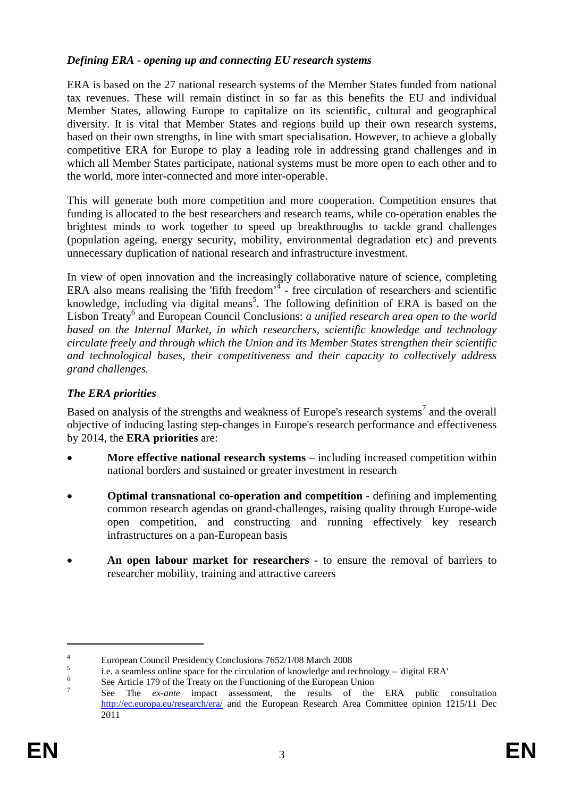# *Defining ERA* - *opening up and connecting EU research systems*

ERA is based on the 27 national research systems of the Member States funded from national tax revenues. These will remain distinct in so far as this benefits the EU and individual Member States, allowing Europe to capitalize on its scientific, cultural and geographical diversity. It is vital that Member States and regions build up their own research systems, based on their own strengths, in line with smart specialisation. However, to achieve a globally competitive ERA for Europe to play a leading role in addressing grand challenges and in which all Member States participate, national systems must be more open to each other and to the world, more inter-connected and more inter-operable.

This will generate both more competition and more cooperation. Competition ensures that funding is allocated to the best researchers and research teams, while co-operation enables the brightest minds to work together to speed up breakthroughs to tackle grand challenges (population ageing, energy security, mobility, environmental degradation etc) and prevents unnecessary duplication of national research and infrastructure investment.

In view of open innovation and the increasingly collaborative nature of science, completing ERA also means realising the 'fifth freedom' $4$  - free circulation of researchers and scientific knowledge, including via digital means<sup>5</sup>. The following definition of ERA is based on the Lisbon Treaty<sup>6</sup> and European Council Conclusions: *a unified research area open to the world based on the Internal Market, in which researchers, scientific knowledge and technology circulate freely and through which the Union and its Member States strengthen their scientific and technological bases, their competitiveness and their capacity to collectively address grand challenges.*

# *The ERA priorities*

Based on analysis of the strengths and weakness of Europe's research systems<sup>7</sup> and the overall objective of inducing lasting step-changes in Europe's research performance and effectiveness by 2014, the **ERA priorities** are:

- **More effective national research systems** including increased competition within national borders and sustained or greater investment in research
- **Optimal transnational co-operation and competition**  defining and implementing common research agendas on grand-challenges, raising quality through Europe-wide open competition, and constructing and running effectively key research infrastructures on a pan-European basis
- **An open labour market for researchers -** to ensure the removal of barriers to researcher mobility, training and attractive careers

<sup>4</sup> European Council Presidency Conclusions 7652/1/08 March 2008

<sup>5</sup> i.e. a seamless online space for the circulation of knowledge and technology – 'digital ERA'  $\frac{6}{100}$  See Article 170 of the Treaty on the Europeing of the European Union

See Article 179 of the Treaty on the Functioning of the European Union

<sup>7</sup> See The *ex-ante* impact assessment, the results of the ERA public consultation [http://ec.europa.eu/research/era/ and the European Research Area Committee opin](http://ec.europa.eu/research/era/)ion 1215/11 Dec 2011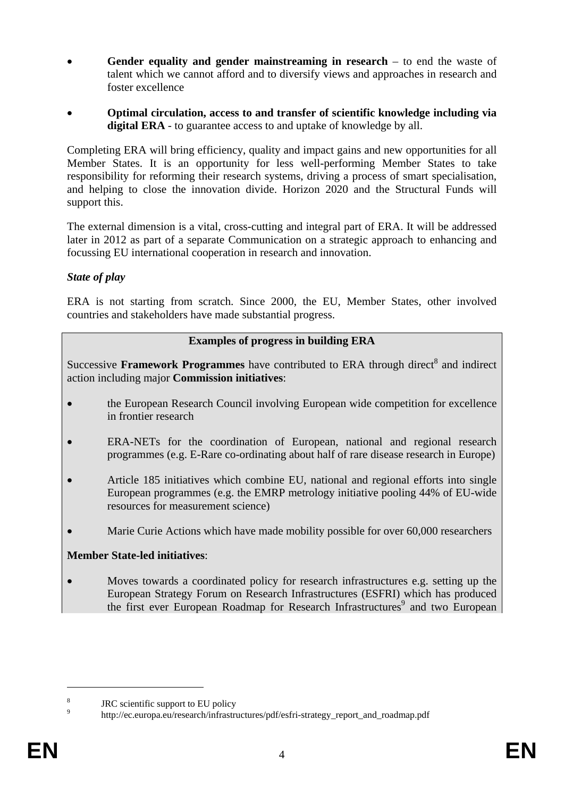- **Gender equality and gender mainstreaming in research** to end the waste of talent which we cannot afford and to diversify views and approaches in research and foster excellence
- **Optimal circulation, access to and transfer of scientific knowledge including via digital ERA** - to guarantee access to and uptake of knowledge by all.

Completing ERA will bring efficiency, quality and impact gains and new opportunities for all Member States. It is an opportunity for less well-performing Member States to take responsibility for reforming their research systems, driving a process of smart specialisation, and helping to close the innovation divide. Horizon 2020 and the Structural Funds will support this.

The external dimension is a vital, cross-cutting and integral part of ERA. It will be addressed later in 2012 as part of a separate Communication on a strategic approach to enhancing and focussing EU international cooperation in research and innovation.

## *State of play*

ERA is not starting from scratch. Since 2000, the EU, Member States, other involved countries and stakeholders have made substantial progress.

## **Examples of progress in building ERA**

Successive Framework Programmes have contributed to ERA through direct<sup>8</sup> and indirect action including major **Commission initiatives**:

- the European Research Council involving European wide competition for excellence in frontier research
- ERA-NETs for the coordination of European, national and regional research programmes (e.g. E-Rare co-ordinating about half of rare disease research in Europe)
- Article 185 initiatives which combine EU, national and regional efforts into single European programmes (e.g. the EMRP metrology initiative pooling 44% of EU-wide resources for measurement science)
- Marie Curie Actions which have made mobility possible for over 60,000 researchers

## **Member State-led initiatives**:

• Moves towards a coordinated policy for research infrastructures e.g. setting up the European Strategy Forum on Research Infrastructures (ESFRI) which has produced the first ever European Roadmap for Research Infrastructures<sup>9</sup> and two European

<sup>8</sup> JRC scientific support to EU policy

<sup>9</sup> http://ec.europa.eu/research/infrastructures/pdf/esfri-strategy\_report\_and\_roadmap.pdf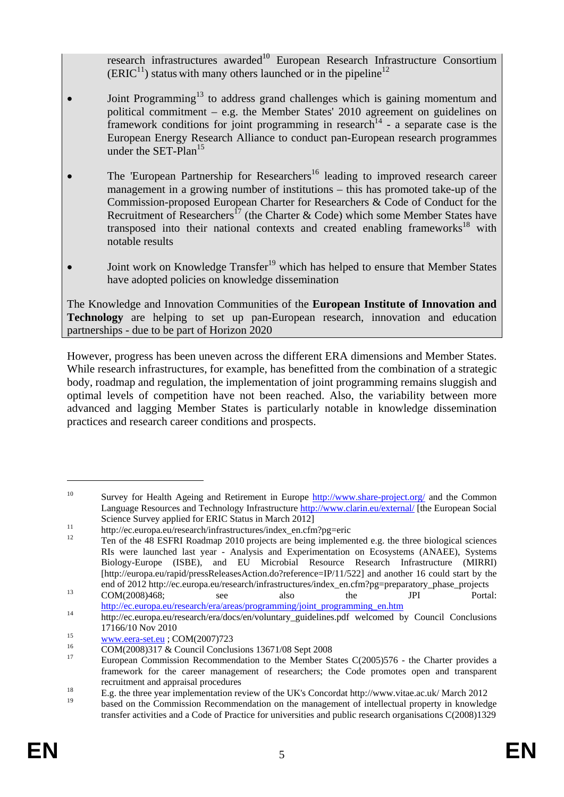research infrastructures awarded<sup>10</sup> European Research Infrastructure Consortium  $(ERIC<sup>11</sup>)$  status with many others launched or in the pipeline<sup>12</sup>

- Joint Programming<sup>13</sup> to address grand challenges which is gaining momentum and political commitment – e.g. the Member States' 2010 agreement on guidelines on framework conditions for joint programming in research<sup>14</sup> - a separate case is the European Energy Research Alliance to conduct pan-European research programmes under the SET-Plan $^{15}$
- The 'European Partnership for Researchers<sup>16</sup> leading to improved research career management in a growing number of institutions – this has promoted take-up of the Commission-proposed European Charter for Researchers & Code of Conduct for the Recruitment of Researchers<sup>17</sup> (the Charter & Code) which some Member States have transposed into their national contexts and created enabling frameworks<sup>18</sup> with notable results
- Joint work on Knowledge Transfer<sup>19</sup> which has helped to ensure that Member States have adopted policies on knowledge dissemination

The Knowledge and Innovation Communities of the **European Institute of Innovation and Technology** are helping to set up pan-European research, innovation and education partnerships - due to be part of Horizon 2020

However, progress has been uneven across the different ERA dimensions and Member States. While research infrastructures, for example, has benefitted from the combination of a strategic body, roadmap and regulation, the implementation of joint programming remains sluggish and optimal levels of competition have not been reached. Also, the variability between more advanced and lagging Member States is particularly notable in knowledge dissemination practices and research career conditions and prospects.

<sup>&</sup>lt;sup>10</sup> Survey for Health Ageing and Retiremen[t in Europe](http://www.share-project.org/) http://www.share-project.org/ and the Common Language Resources and Technology Infrastructur[e http://www.clarin.eu/external/ \[](http://www.clarin.eu/external/)the European Social

Science Survey applied for ERIC Status in March 2012]<br>
<sup>11</sup> http://ec.europa.eu/research/infrastructures/index\_en.cfm?pg=eric<br>
<sup>12</sup> Ten of the 48 ESFRI Roadmap 2010 projects are being implemented e.g. the three biological RIs were launched last year - Analysis and Experimentation on Ecosystems (ANAEE), Systems Biology-Europe (ISBE), and EU Microbial Resource Research Infrastructure (MIRRI) [http://europa.eu/rapid/pressReleasesAction.do?reference=IP/11/522] and another 16 could start by the

end of 2012 http://ec.europa.eu/research/infrastructures/index\_en.cfm?pg=preparatory\_phase\_projects COM(2008)468; see also the JPI Portal:<br>http://ec.europa.eu/research/era/areas/programming/joint programming en.htm

 $\frac{14}{\text{http://ec.europa.eu/research/era/docs/en/voluntary guidelines.pdf}$  welcomed by Council Conclusions

<sup>17166/10</sup> Nov 2010<br>
<u>www.eera-set.eu</u> ; COM(2007)723<br> [COM\(2008\)317 &](http://www.eera-set.eu/) Council Conclusions 13671/08 Sept 2008

<sup>17</sup> European Commission Recommendation to the Member States C(2005)576 - the Charter provides a framework for the career management of researchers; the Code promotes open and transparent

recruitment and appraisal procedures<br>
E.g. the three year implementation review of the UK's Concordat http://www.vitae.ac.uk/ March 2012

<sup>19</sup> based on the Commission Recommendation on the management of intellectual property in knowledge transfer activities and a Code of Practice for universities and public research organisations C(2008)1329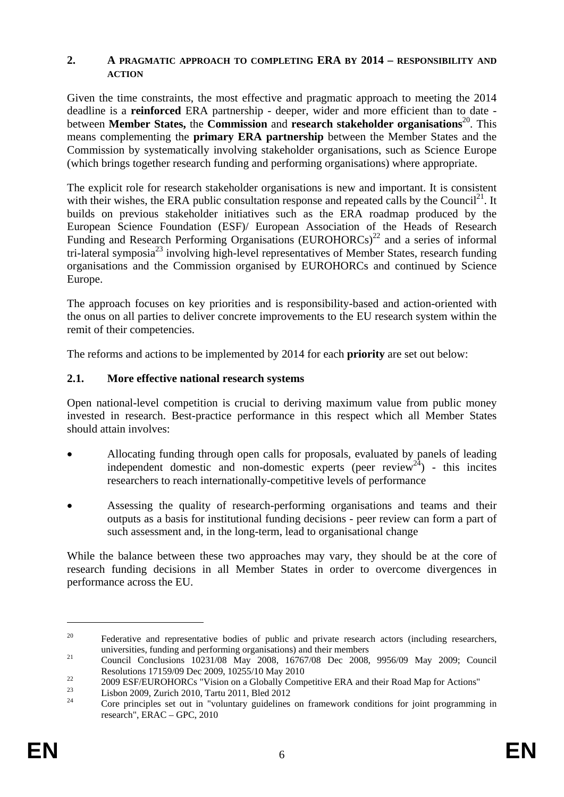#### **2. A PRAGMATIC APPROACH TO COMPLETING ERA BY 2014 – RESPONSIBILITY AND ACTION**

Given the time constraints, the most effective and pragmatic approach to meeting the 2014 deadline is a **reinforced** ERA partnership - deeper, wider and more efficient than to date between **Member States,** the **Commission** and **research stakeholder organisations**<sup>20</sup>. This means complementing the **primary ERA partnership** between the Member States and the Commission by systematically involving stakeholder organisations, such as Science Europe (which brings together research funding and performing organisations) where appropriate.

The explicit role for research stakeholder organisations is new and important. It is consistent with their wishes, the ERA public consultation response and repeated calls by the Council<sup>21</sup>. It builds on previous stakeholder initiatives such as the ERA roadmap produced by the European Science Foundation (ESF)/ European Association of the Heads of Research Funding and Research Performing Organisations  $(EUROHORCs)^{22}$  and a series of informal tri-lateral symposia<sup>23</sup> involving high-level representatives of Member States, research funding organisations and the Commission organised by EUROHORCs and continued by Science Europe.

The approach focuses on key priorities and is responsibility-based and action-oriented with the onus on all parties to deliver concrete improvements to the EU research system within the remit of their competencies.

The reforms and actions to be implemented by 2014 for each **priority** are set out below:

## **2.1. More effective national research systems**

Open national-level competition is crucial to deriving maximum value from public money invested in research. Best-practice performance in this respect which all Member States should attain involves:

- Allocating funding through open calls for proposals, evaluated by panels of leading independent domestic and non-domestic experts (peer review<sup>24</sup>) - this incites researchers to reach internationally-competitive levels of performance
- Assessing the quality of research-performing organisations and teams and their outputs as a basis for institutional funding decisions - peer review can form a part of such assessment and, in the long-term, lead to organisational change

While the balance between these two approaches may vary, they should be at the core of research funding decisions in all Member States in order to overcome divergences in performance across the EU.

<sup>&</sup>lt;sup>20</sup> Federative and representative bodies of public and private research actors (including researchers,

universities, funding and performing organisations) and their members<br><sup>21</sup> Council Conclusions 10231/08 May 2008, 16767/08 Dec 2008, 9956/09 May 2009; Council

Resolutions 17159/09 Dec 2009, 10255/10 May 2010<br>2009 ESF/EUROHORCs "Vision on a Globally Competitive ERA and their Road Map for Actions"

<sup>&</sup>lt;sup>23</sup> Lisbon 2009, Zurich 2010, Tartu 2011, Bled 2012

<sup>24</sup> Core principles set out in "voluntary guidelines on framework conditions for joint programming in research", ERAC – GPC, 2010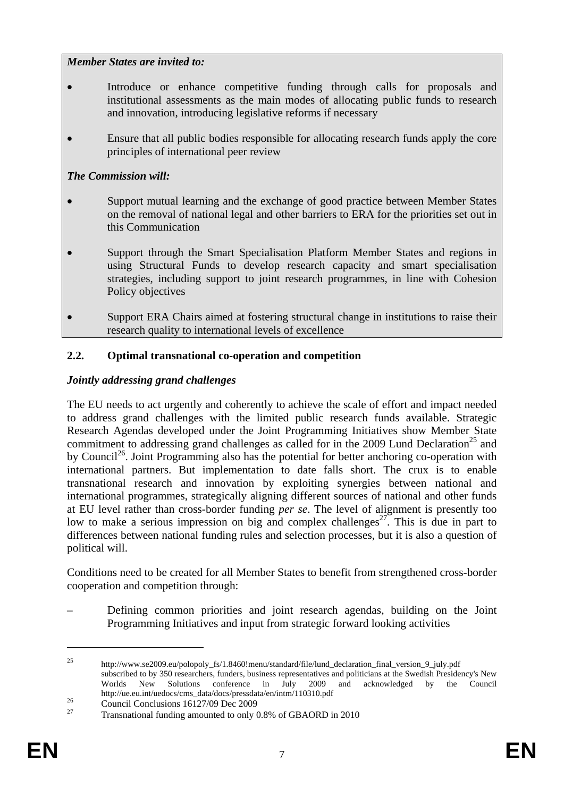## *Member States are invited to:*

- Introduce or enhance competitive funding through calls for proposals and institutional assessments as the main modes of allocating public funds to research and innovation, introducing legislative reforms if necessary
- Ensure that all public bodies responsible for allocating research funds apply the core principles of international peer review

# *The Commission will:*

- Support mutual learning and the exchange of good practice between Member States on the removal of national legal and other barriers to ERA for the priorities set out in this Communication
- Support through the Smart Specialisation Platform Member States and regions in using Structural Funds to develop research capacity and smart specialisation strategies, including support to joint research programmes, in line with Cohesion Policy objectives
- Support ERA Chairs aimed at fostering structural change in institutions to raise their research quality to international levels of excellence

# **2.2. Optimal transnational co-operation and competition**

# *Jointly addressing grand challenges*

The EU needs to act urgently and coherently to achieve the scale of effort and impact needed to address grand challenges with the limited public research funds available. Strategic Research Agendas developed under the Joint Programming Initiatives show Member State commitment to addressing grand challenges as called for in the 2009 Lund Declaration<sup>25</sup> and by Council<sup>26</sup>. Joint Programming also has the potential for better anchoring co-operation with international partners. But implementation to date falls short. The crux is to enable transnational research and innovation by exploiting synergies between national and international programmes, strategically aligning different sources of national and other funds at EU level rather than cross-border funding *per se*. The level of alignment is presently too low to make a serious impression on big and complex challenges<sup>27</sup>. This is due in part to differences between national funding rules and selection processes, but it is also a question of political will.

Conditions need to be created for all Member States to benefit from strengthened cross-border cooperation and competition through:

– Defining common priorities and joint research agendas, building on the Joint Programming Initiatives and input from strategic forward looking activities

<sup>&</sup>lt;sup>25</sup> http://www.se2009.eu/polopoly\_fs/1.8460!menu/standard/file/lund\_declaration\_final\_version\_9\_july.pdf subscribed to by 350 researchers, funders, business representatives and politicians at the Swedish Presidency's New Worlds New Solutions conference in July 2009 and acknowledged by the Council http://ue.eu.int/uedocs/cms\_data/docs/pressdata/en/intm/110310.pdf<br>
Council Conclusions 16127/09 Dec 2009<br>
Transporting all funding amounted to only 0.8% of CBAOBD is

<sup>27</sup> Transnational funding amounted to only 0.8% of GBAORD in 2010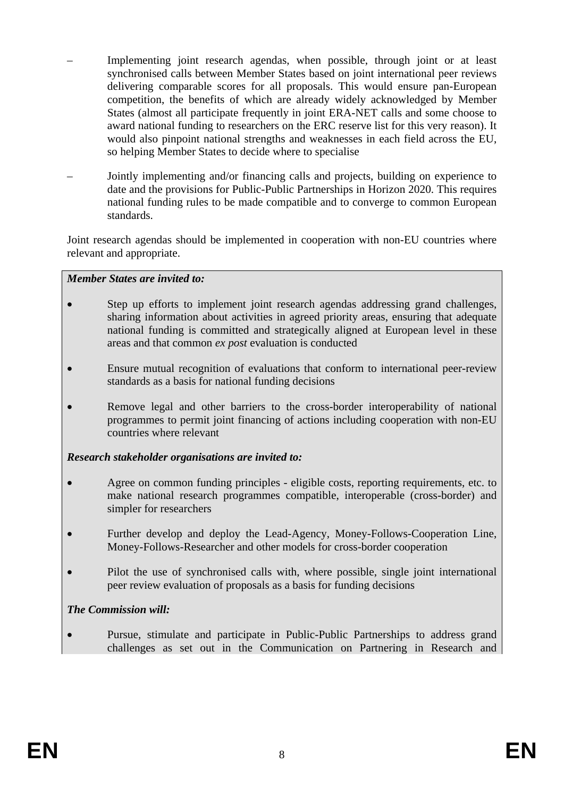- Implementing joint research agendas, when possible, through joint or at least synchronised calls between Member States based on joint international peer reviews delivering comparable scores for all proposals. This would ensure pan-European competition, the benefits of which are already widely acknowledged by Member States (almost all participate frequently in joint ERA-NET calls and some choose to award national funding to researchers on the ERC reserve list for this very reason). It would also pinpoint national strengths and weaknesses in each field across the EU, so helping Member States to decide where to specialise
- Jointly implementing and/or financing calls and projects, building on experience to date and the provisions for Public-Public Partnerships in Horizon 2020. This requires national funding rules to be made compatible and to converge to common European standards.

Joint research agendas should be implemented in cooperation with non-EU countries where relevant and appropriate.

### *Member States are invited to:*

- Step up efforts to implement joint research agendas addressing grand challenges, sharing information about activities in agreed priority areas, ensuring that adequate national funding is committed and strategically aligned at European level in these areas and that common *ex post* evaluation is conducted
- Ensure mutual recognition of evaluations that conform to international peer-review standards as a basis for national funding decisions
- Remove legal and other barriers to the cross-border interoperability of national programmes to permit joint financing of actions including cooperation with non-EU countries where relevant

### *Research stakeholder organisations are invited to:*

- Agree on common funding principles eligible costs, reporting requirements, etc. to make national research programmes compatible, interoperable (cross-border) and simpler for researchers
- Further develop and deploy the Lead-Agency, Money-Follows-Cooperation Line, Money-Follows-Researcher and other models for cross-border cooperation
- Pilot the use of synchronised calls with, where possible, single joint international peer review evaluation of proposals as a basis for funding decisions

## *The Commission will:*

• Pursue, stimulate and participate in Public-Public Partnerships to address grand challenges as set out in the Communication on Partnering in Research and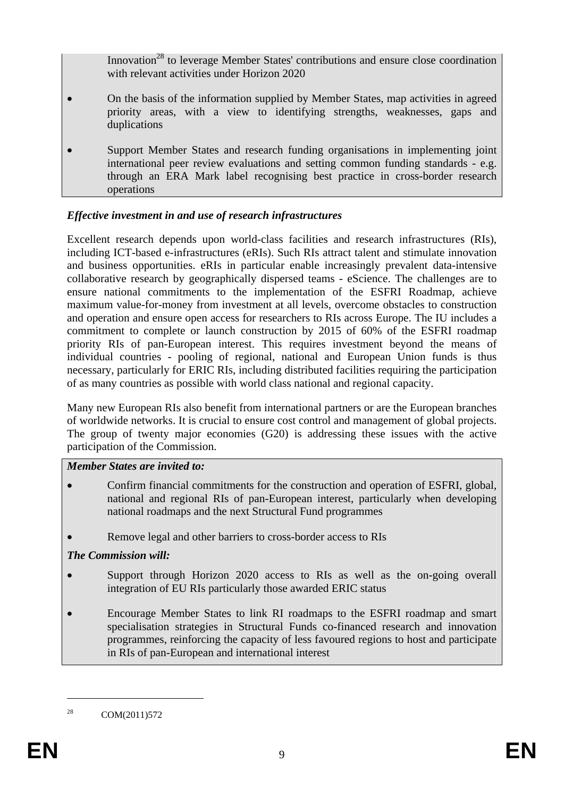Innovation<sup>28</sup> to leverage Member States' contributions and ensure close coordination with relevant activities under Horizon 2020

- On the basis of the information supplied by Member States, map activities in agreed priority areas, with a view to identifying strengths, weaknesses, gaps and duplications
- Support Member States and research funding organisations in implementing joint international peer review evaluations and setting common funding standards - e.g. through an ERA Mark label recognising best practice in cross-border research operations

# *Effective investment in and use of research infrastructures*

Excellent research depends upon world-class facilities and research infrastructures (RIs), including ICT-based e-infrastructures (eRIs). Such RIs attract talent and stimulate innovation and business opportunities. eRIs in particular enable increasingly prevalent data-intensive collaborative research by geographically dispersed teams - eScience. The challenges are to ensure national commitments to the implementation of the ESFRI Roadmap, achieve maximum value-for-money from investment at all levels, overcome obstacles to construction and operation and ensure open access for researchers to RIs across Europe. The IU includes a commitment to complete or launch construction by 2015 of 60% of the ESFRI roadmap priority RIs of pan-European interest. This requires investment beyond the means of individual countries - pooling of regional, national and European Union funds is thus necessary, particularly for ERIC RIs, including distributed facilities requiring the participation of as many countries as possible with world class national and regional capacity.

Many new European RIs also benefit from international partners or are the European branches of worldwide networks. It is crucial to ensure cost control and management of global projects. The group of twenty major economies (G20) is addressing these issues with the active participation of the Commission.

## *Member States are invited to:*

- Confirm financial commitments for the construction and operation of ESFRI, global, national and regional RIs of pan-European interest, particularly when developing national roadmaps and the next Structural Fund programmes
- Remove legal and other barriers to cross-border access to RIs

# *The Commission will:*

- Support through Horizon 2020 access to RIs as well as the on-going overall integration of EU RIs particularly those awarded ERIC status
- Encourage Member States to link RI roadmaps to the ESFRI roadmap and smart specialisation strategies in Structural Funds co-financed research and innovation programmes, reinforcing the capacity of less favoured regions to host and participate in RIs of pan-European and international interest

<sup>28</sup> COM(2011)572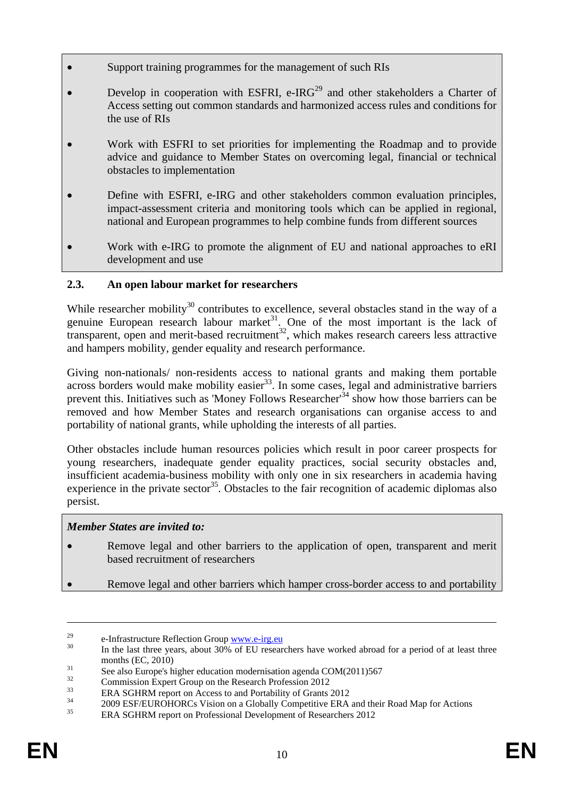- Support training programmes for the management of such RIs
- Develop in cooperation with ESFRI, e-IRG<sup>29</sup> and other stakeholders a Charter of Access setting out common standards and harmonized access rules and conditions for the use of RIs
- Work with ESFRI to set priorities for implementing the Roadmap and to provide advice and guidance to Member States on overcoming legal, financial or technical obstacles to implementation
- Define with ESFRI, e-IRG and other stakeholders common evaluation principles, impact-assessment criteria and monitoring tools which can be applied in regional, national and European programmes to help combine funds from different sources
- Work with e-IRG to promote the alignment of EU and national approaches to eRI development and use

# **2.3. An open labour market for researchers**

While researcher mobility<sup>30</sup> contributes to excellence, several obstacles stand in the way of a genuine European research labour market<sup>31</sup>. One of the most important is the lack of transparent, open and merit-based recruitment<sup>32</sup>, which makes research careers less attractive and hampers mobility, gender equality and research performance.

Giving non-nationals/ non-residents access to national grants and making them portable  $\overline{\text{across}}$  borders would make mobility easier<sup>33</sup>. In some cases, legal and administrative barriers prevent this. Initiatives such as 'Money Follows Researcher'<sup>34</sup> show how those barriers can be removed and how Member States and research organisations can organise access to and portability of national grants, while upholding the interests of all parties.

Other obstacles include human resources policies which result in poor career prospects for young researchers, inadequate gender equality practices, social security obstacles and, insufficient academia-business mobility with only one in six researchers in academia having experience in the private  $\text{sector}^{35}$ . Obstacles to the fair recognition of academic diplomas also persist.

## *Member States are invited to:*

- Remove legal and other barriers to the application of open, transparent and merit based recruitment of researchers
- Remove legal and other barriers which hamper cross-border access to and portability

<sup>&</sup>lt;sup>29</sup> e-Infrastructure Reflection Group <u>www.e-irg.eu</u><br><sup>30</sup> In the last three years, about 30% of EU researchers have worked abroad for a period of at least three

months (EC, 2010)<br>
See also Europe's higher education modernisation agenda COM(2011)567<br>
<sup>32</sup> Curricle in the Curricle Pullet Pullet in 2012

 $\frac{32}{33}$  Commission Expert Group on the Research Profession 2012

 $\text{ERA SGHRM report on Access to and Portability of Grants } 2012$ <br>  $\text{34} \qquad \text{2000 EGFTEDOLOG. } \text{Milipers} \qquad \text{CHall} \qquad \text{Gauss} \qquad \text{FDA}$ 

<sup>&</sup>lt;sup>34</sup> 2009 ESF/EUROHORCs Vision on a Globally Competitive ERA and their Road Map for Actions

<sup>35</sup> ERA SGHRM report on Professional Development of Researchers 2012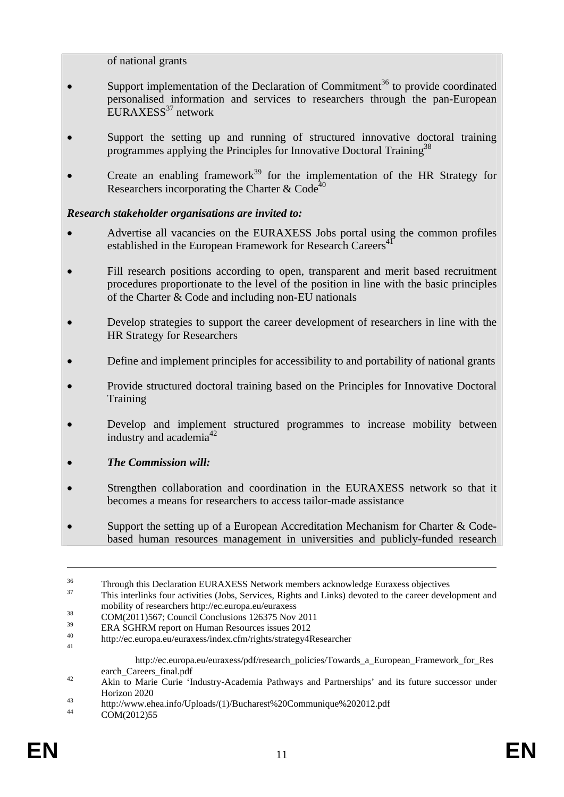of national grants

- Support implementation of the Declaration of Commitment<sup>36</sup> to provide coordinated personalised information and services to researchers through the pan-European EURAXESS $37$  network
- Support the setting up and running of structured innovative doctoral training programmes applying the Principles for Innovative Doctoral Training<sup>38</sup>
- Create an enabling framework $39$  for the implementation of the HR Strategy for Researchers incorporating the Charter & Code<sup>40</sup>

### *Research stakeholder organisations are invited to:*

- Advertise all vacancies on the EURAXESS Jobs portal using the common profiles established in the European Framework for Research Careers<sup>4</sup>
- Fill research positions according to open, transparent and merit based recruitment procedures proportionate to the level of the position in line with the basic principles of the Charter & Code and including non-EU nationals
- Develop strategies to support the career development of researchers in line with the HR Strategy for Researchers
- Define and implement principles for accessibility to and portability of national grants
- Provide structured doctoral training based on the Principles for Innovative Doctoral Training
- Develop and implement structured programmes to increase mobility between industry and academia<sup>42</sup>
- *The Commission will:*
- Strengthen collaboration and coordination in the EURAXESS network so that it becomes a means for researchers to access tailor-made assistance
- Support the setting up of a European Accreditation Mechanism for Charter & Codebased human resources management in universities and publicly-funded research

<sup>&</sup>lt;sup>36</sup> Through this Declaration EURAXESS Network members acknowledge Euraxess objectives<br><sup>37</sup> This interlinks four activities (Jobs, Services, Rights and Links) devoted to the career development and

mobility of researchers http://ec.europa.eu/euraxess<br>
COM(2011)567; Council Conclusions 126375 Nov 2011<br>
TRA GOURM

 $\frac{39}{40}$  ERA SGHRM report on Human Resources issues 2012

<sup>40</sup> http://ec.europa.eu/euraxess/index.cfm/rights/strategy4Researcher 41

http://ec.europa.eu/euraxess/pdf/research\_policies/Towards\_a\_European\_Framework\_for\_Res

earch\_Careers\_final.pdf<br>42 Akin to Marie Curie 'Industry-Academia Pathways and Partnerships' and its future successor under

Horizon 2020<br>
http://www.ehea.info/Uploads/(1)/Bucharest%20Communique%202012.pdf<br>
COM(2012)55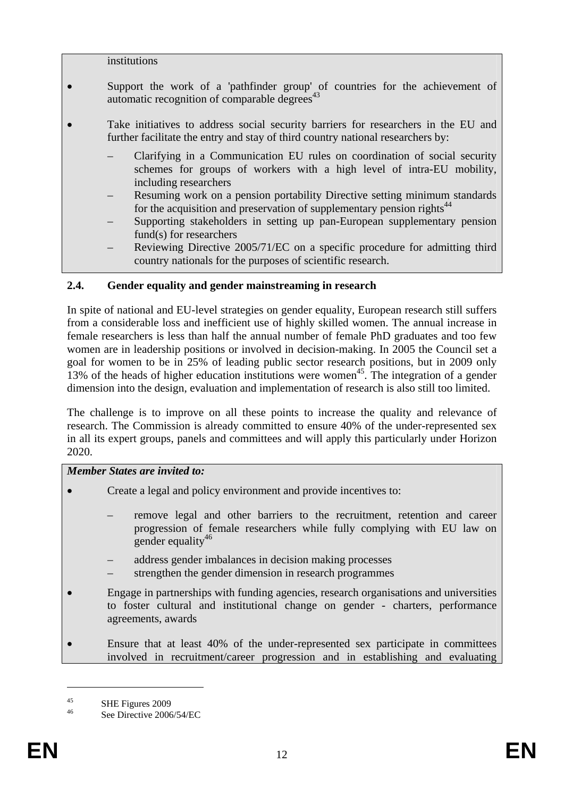institutions

- Support the work of a 'pathfinder group' of countries for the achievement of automatic recognition of comparable degrees $43$
- Take initiatives to address social security barriers for researchers in the EU and further facilitate the entry and stay of third country national researchers by:
	- Clarifying in a Communication EU rules on coordination of social security schemes for groups of workers with a high level of intra-EU mobility, including researchers
	- Resuming work on a pension portability Directive setting minimum standards for the acquisition and preservation of supplementary pension rights<sup>44</sup>
	- Supporting stakeholders in setting up pan-European supplementary pension fund(s) for researchers
	- Reviewing Directive 2005/71/EC on a specific procedure for admitting third country nationals for the purposes of scientific research.

## **2.4. Gender equality and gender mainstreaming in research**

In spite of national and EU-level strategies on gender equality, European research still suffers from a considerable loss and inefficient use of highly skilled women. The annual increase in female researchers is less than half the annual number of female PhD graduates and too few women are in leadership positions or involved in decision-making. In 2005 the Council set a goal for women to be in 25% of leading public sector research positions, but in 2009 only 13% of the heads of higher education institutions were women<sup>45</sup>. The integration of a gender dimension into the design, evaluation and implementation of research is also still too limited.

The challenge is to improve on all these points to increase the quality and relevance of research. The Commission is already committed to ensure 40% of the under-represented sex in all its expert groups, panels and committees and will apply this particularly under Horizon 2020.

### *Member States are invited to:*

- Create a legal and policy environment and provide incentives to:
	- remove legal and other barriers to the recruitment, retention and career progression of female researchers while fully complying with EU law on gender equality<sup>46</sup>
	- address gender imbalances in decision making processes
	- strengthen the gender dimension in research programmes
- Engage in partnerships with funding agencies, research organisations and universities to foster cultural and institutional change on gender - charters, performance agreements, awards
- Ensure that at least 40% of the under-represented sex participate in committees involved in recruitment/career progression and in establishing and evaluating

<sup>&</sup>lt;sup>45</sup> SHE Figures 2009

See Directive 2006/54/EC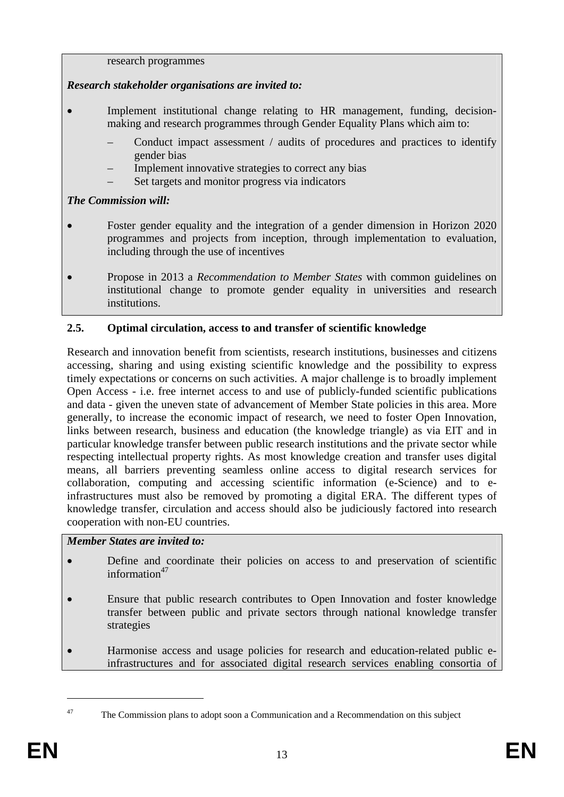### research programmes

# *Research stakeholder organisations are invited to:*

- Implement institutional change relating to HR management, funding, decisionmaking and research programmes through Gender Equality Plans which aim to:
	- Conduct impact assessment / audits of procedures and practices to identify gender bias
	- Implement innovative strategies to correct any bias
	- Set targets and monitor progress via indicators

# *The Commission will:*

- Foster gender equality and the integration of a gender dimension in Horizon 2020 programmes and projects from inception, through implementation to evaluation, including through the use of incentives
- Propose in 2013 a *Recommendation to Member States* with common guidelines on institutional change to promote gender equality in universities and research institutions.

# **2.5. Optimal circulation, access to and transfer of scientific knowledge**

Research and innovation benefit from scientists, research institutions, businesses and citizens accessing, sharing and using existing scientific knowledge and the possibility to express timely expectations or concerns on such activities. A major challenge is to broadly implement Open Access - i.e. free internet access to and use of publicly-funded scientific publications and data - given the uneven state of advancement of Member State policies in this area. More generally, to increase the economic impact of research, we need to foster Open Innovation, links between research, business and education (the knowledge triangle) as via EIT and in particular knowledge transfer between public research institutions and the private sector while respecting intellectual property rights. As most knowledge creation and transfer uses digital means, all barriers preventing seamless online access to digital research services for collaboration, computing and accessing scientific information (e-Science) and to einfrastructures must also be removed by promoting a digital ERA. The different types of knowledge transfer, circulation and access should also be judiciously factored into research cooperation with non-EU countries.

## *Member States are invited to:*

- Define and coordinate their policies on access to and preservation of scientific information $47$
- Ensure that public research contributes to Open Innovation and foster knowledge transfer between public and private sectors through national knowledge transfer strategies
- Harmonise access and usage policies for research and education-related public einfrastructures and for associated digital research services enabling consortia of

<sup>&</sup>lt;sup>47</sup> The Commission plans to adopt soon a Communication and a Recommendation on this subject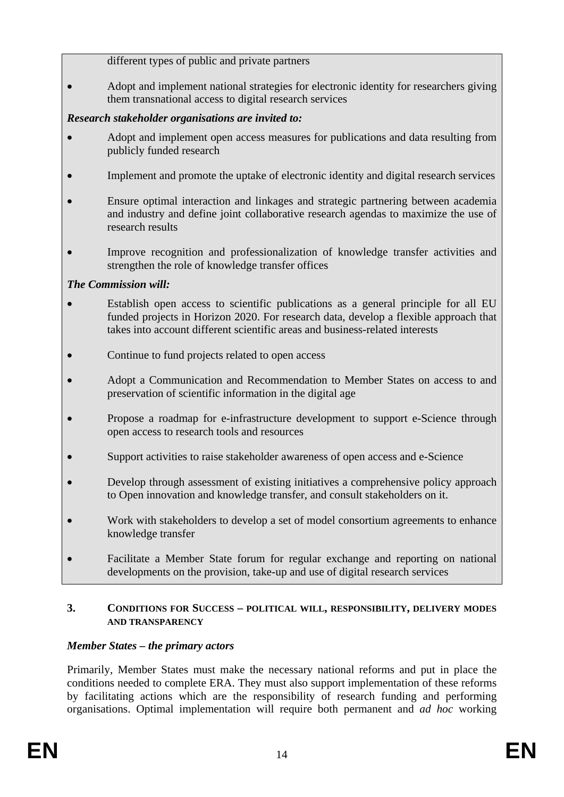different types of public and private partners

• Adopt and implement national strategies for electronic identity for researchers giving them transnational access to digital research services

# *Research stakeholder organisations are invited to:*

- Adopt and implement open access measures for publications and data resulting from publicly funded research
- Implement and promote the uptake of electronic identity and digital research services
- Ensure optimal interaction and linkages and strategic partnering between academia and industry and define joint collaborative research agendas to maximize the use of research results
- Improve recognition and professionalization of knowledge transfer activities and strengthen the role of knowledge transfer offices

# *The Commission will:*

- Establish open access to scientific publications as a general principle for all EU funded projects in Horizon 2020. For research data, develop a flexible approach that takes into account different scientific areas and business-related interests
- Continue to fund projects related to open access
- Adopt a Communication and Recommendation to Member States on access to and preservation of scientific information in the digital age
- Propose a roadmap for e-infrastructure development to support e-Science through open access to research tools and resources
- Support activities to raise stakeholder awareness of open access and e-Science
- Develop through assessment of existing initiatives a comprehensive policy approach to Open innovation and knowledge transfer, and consult stakeholders on it.
- Work with stakeholders to develop a set of model consortium agreements to enhance knowledge transfer
- Facilitate a Member State forum for regular exchange and reporting on national developments on the provision, take-up and use of digital research services

# **3. CONDITIONS FOR SUCCESS – POLITICAL WILL, RESPONSIBILITY, DELIVERY MODES AND TRANSPARENCY**

# *Member States – the primary actors*

Primarily, Member States must make the necessary national reforms and put in place the conditions needed to complete ERA. They must also support implementation of these reforms by facilitating actions which are the responsibility of research funding and performing organisations. Optimal implementation will require both permanent and *ad hoc* working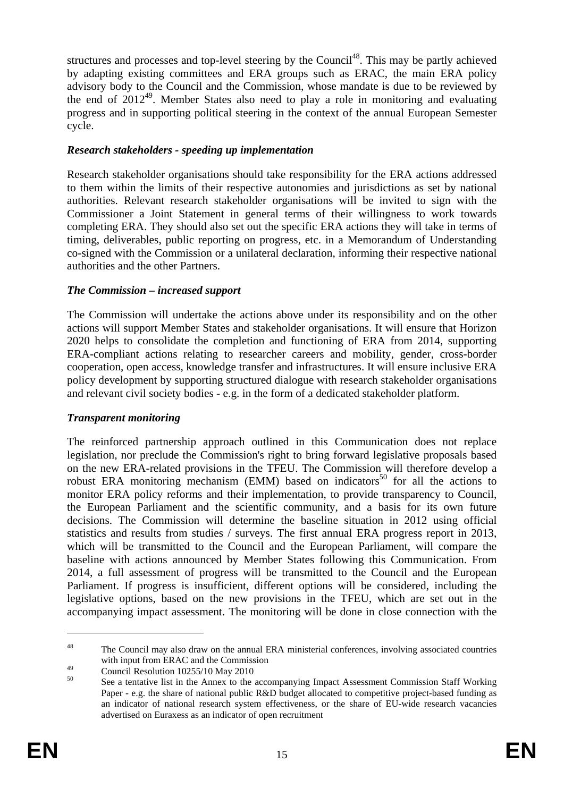structures and processes and top-level steering by the Council<sup>48</sup>. This may be partly achieved by adapting existing committees and ERA groups such as ERAC, the main ERA policy advisory body to the Council and the Commission, whose mandate is due to be reviewed by the end of  $2012^{49}$ . Member States also need to play a role in monitoring and evaluating progress and in supporting political steering in the context of the annual European Semester cycle.

# *Research stakeholders - speeding up implementation*

Research stakeholder organisations should take responsibility for the ERA actions addressed to them within the limits of their respective autonomies and jurisdictions as set by national authorities. Relevant research stakeholder organisations will be invited to sign with the Commissioner a Joint Statement in general terms of their willingness to work towards completing ERA. They should also set out the specific ERA actions they will take in terms of timing, deliverables, public reporting on progress, etc. in a Memorandum of Understanding co-signed with the Commission or a unilateral declaration, informing their respective national authorities and the other Partners.

# *The Commission – increased support*

The Commission will undertake the actions above under its responsibility and on the other actions will support Member States and stakeholder organisations. It will ensure that Horizon 2020 helps to consolidate the completion and functioning of ERA from 2014, supporting ERA-compliant actions relating to researcher careers and mobility, gender, cross-border cooperation, open access, knowledge transfer and infrastructures. It will ensure inclusive ERA policy development by supporting structured dialogue with research stakeholder organisations and relevant civil society bodies - e.g. in the form of a dedicated stakeholder platform.

## *Transparent monitoring*

The reinforced partnership approach outlined in this Communication does not replace legislation, nor preclude the Commission's right to bring forward legislative proposals based on the new ERA-related provisions in the TFEU. The Commission will therefore develop a robust ERA monitoring mechanism (EMM) based on indicators $50$  for all the actions to monitor ERA policy reforms and their implementation, to provide transparency to Council, the European Parliament and the scientific community, and a basis for its own future decisions. The Commission will determine the baseline situation in 2012 using official statistics and results from studies / surveys. The first annual ERA progress report in 2013, which will be transmitted to the Council and the European Parliament, will compare the baseline with actions announced by Member States following this Communication. From 2014, a full assessment of progress will be transmitted to the Council and the European Parliament. If progress is insufficient, different options will be considered, including the legislative options, based on the new provisions in the TFEU, which are set out in the accompanying impact assessment. The monitoring will be done in close connection with the

<sup>&</sup>lt;sup>48</sup> The Council may also draw on the annual ERA ministerial conferences, involving associated countries with input from ERAC and the Commission

<sup>&</sup>lt;sup>49</sup><br>Council Resolution 10255/10 May 2010

<sup>50</sup> See a tentative list in the Annex to the accompanying Impact Assessment Commission Staff Working Paper - e.g. the share of national public R&D budget allocated to competitive project-based funding as an indicator of national research system effectiveness, or the share of EU-wide research vacancies advertised on Euraxess as an indicator of open recruitment